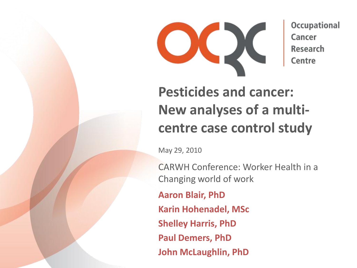

Occupational Cancer **Research** Centre

# **Pesticides and cancer: New analyses of a multicentre case control study**

May 29, 2010

CARWH Conference: Worker Health in a Changing world of work

**Aaron Blair, PhD**

**Karin Hohenadel, MSc**

**Shelley Harris, PhD**

**Paul Demers, PhD**

**John McLaughlin, PhD**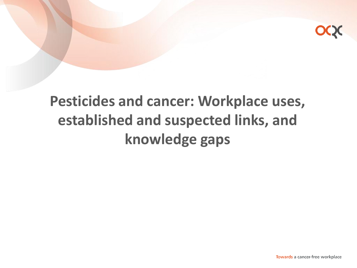

# **Pesticides and cancer: Workplace uses, established and suspected links, and knowledge gaps**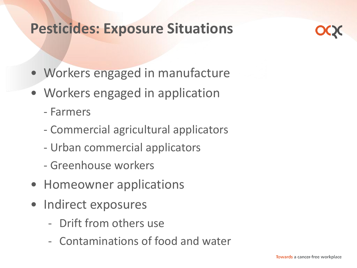#### **Pesticides: Exposure Situations**

- Workers engaged in manufacture
- Workers engaged in application
	- Farmers
	- Commercial agricultural applicators
	- Urban commercial applicators
	- Greenhouse workers
- Homeowner applications
- Indirect exposures
	- Drift from others use
	- Contaminations of food and water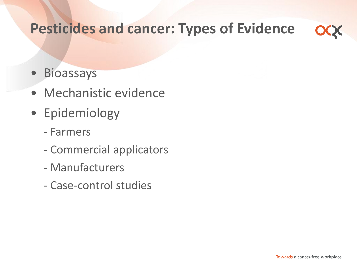#### **Pesticides and cancer: Types of Evidence**

- Bioassays
- Mechanistic evidence
- Epidemiology
	- Farmers
	- Commercial applicators
	- Manufacturers
	- Case-control studies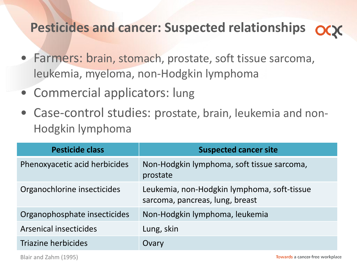#### **Pesticides and cancer: Suspected relationships**

- Farmers: brain, stomach, prostate, soft tissue sarcoma, leukemia, myeloma, non-Hodgkin lymphoma
- Commercial applicators: lung
- Case-control studies: prostate, brain, leukemia and non-Hodgkin lymphoma

| <b>Pesticide class</b>        | <b>Suspected cancer site</b>                                                   |
|-------------------------------|--------------------------------------------------------------------------------|
| Phenoxyacetic acid herbicides | Non-Hodgkin lymphoma, soft tissue sarcoma,<br>prostate                         |
| Organochlorine insecticides   | Leukemia, non-Hodgkin lymphoma, soft-tissue<br>sarcoma, pancreas, lung, breast |
| Organophosphate insecticides  | Non-Hodgkin lymphoma, leukemia                                                 |
| Arsenical insecticides        | Lung, skin                                                                     |
| Triazine herbicides           | Ovary                                                                          |

Blair and Zahm (1995)

Towards a cancer-free workplace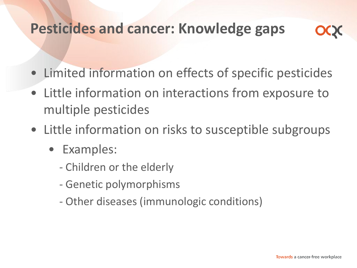### **Pesticides and cancer: Knowledge gaps**

- Limited information on effects of specific pesticides
- Little information on interactions from exposure to multiple pesticides
- Little information on risks to susceptible subgroups
	- Examples:
		- Children or the elderly
		- Genetic polymorphisms
		- Other diseases (immunologic conditions)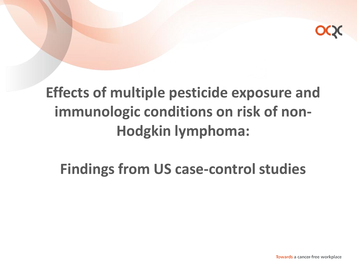

# **Effects of multiple pesticide exposure and immunologic conditions on risk of non-Hodgkin lymphoma:**

# **Findings from US case-control studies**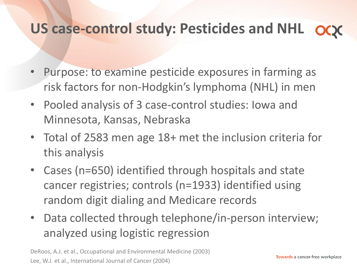### **US case-control study: Pesticides and NHL**

- Purpose: to examine pesticide exposures in farming as risk factors for non-Hodgkin's lymphoma (NHL) in men
- Pooled analysis of 3 case-control studies: Iowa and Minnesota, Kansas, Nebraska
- Total of 2583 men age 18+ met the inclusion criteria for this analysis
- Cases (n=650) identified through hospitals and state cancer registries; controls (n=1933) identified using random digit dialing and Medicare records
- Data collected through telephone/in-person interview; analyzed using logistic regression

DeRoos, A.J. et al., Occupational and Environmental Medicine (2003) Lee, W.J. et al., International Journal of Cancer (2004)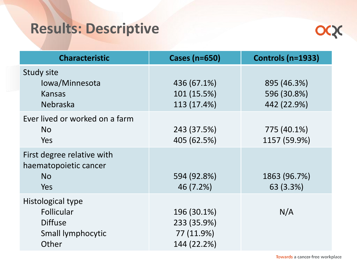# **Results: Descriptive**



| <b>Characteristic</b>                                                           | <b>Cases (n=650)</b>                                    | <b>Controls (n=1933)</b>                  |
|---------------------------------------------------------------------------------|---------------------------------------------------------|-------------------------------------------|
| <b>Study site</b><br>lowa/Minnesota<br><b>Kansas</b><br>Nebraska                | 436 (67.1%)<br>101 (15.5%)<br>113 (17.4%)               | 895 (46.3%)<br>596 (30.8%)<br>442 (22.9%) |
| Ever lived or worked on a farm<br><b>No</b><br>Yes                              | 243 (37.5%)<br>405 (62.5%)                              | 775 (40.1%)<br>1157 (59.9%)               |
| First degree relative with<br>haematopoietic cancer<br><b>No</b><br>Yes         | 594 (92.8%)<br>46 (7.2%)                                | 1863 (96.7%)<br>63 (3.3%)                 |
| Histological type<br>Follicular<br><b>Diffuse</b><br>Small lymphocytic<br>Other | 196 (30.1%)<br>233 (35.9%)<br>77 (11.9%)<br>144 (22.2%) | N/A                                       |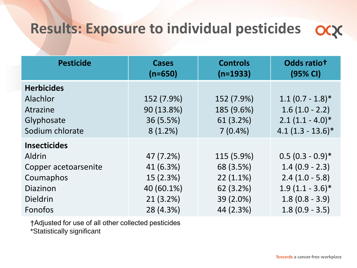### **Results: Exposure to individual pesticides**

| <b>Pesticide</b>                                                           | <b>Cases</b><br>$(n=650)$                        | <b>Controls</b><br>$(n=1933)$                       | Odds ratiot<br>(95% CI)                                                           |
|----------------------------------------------------------------------------|--------------------------------------------------|-----------------------------------------------------|-----------------------------------------------------------------------------------|
| <b>Herbicides</b><br>Alachlor<br>Atrazine<br>Glyphosate<br>Sodium chlorate | 152 (7.9%)<br>90 (13.8%)<br>36 (5.5%)<br>8(1.2%) | 152 (7.9%)<br>185 (9.6%)<br>61 (3.2%)<br>$7(0.4\%)$ | $1.1(0.7 - 1.8)*$<br>$1.6(1.0 - 2.2)$<br>$2.1(1.1 - 4.0)*$<br>$4.1(1.3 - 13.6)^*$ |
| <b>Insecticides</b><br>Aldrin                                              | 47 (7.2%)                                        | 115 (5.9%)                                          | $0.5(0.3 - 0.9)^*$                                                                |
| Copper acetoarsenite                                                       | 41 (6.3%)                                        | 68 (3.5%)                                           | $1.4(0.9 - 2.3)$                                                                  |
| Coumaphos                                                                  | 15 (2.3%)                                        | $22(1.1\%)$                                         | $2.4(1.0 - 5.8)$                                                                  |
| Diazinon                                                                   | 40 (60.1%)                                       | 62 (3.2%)                                           | $1.9(1.1 - 3.6)*$                                                                 |
| <b>Dieldrin</b>                                                            | 21(3.2%)                                         | 39 (2.0%)                                           | $1.8(0.8 - 3.9)$                                                                  |
| Fonofos                                                                    | 28 (4.3%)                                        | 44 (2.3%)                                           | $1.8(0.9 - 3.5)$                                                                  |

†Adjusted for use of all other collected pesticides

\*Statistically significant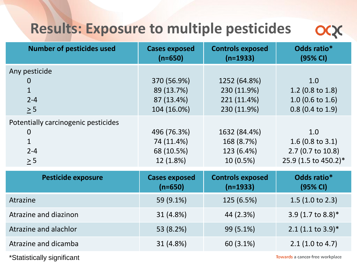### **Results: Exposure to multiple pesticides**

| <b>Number of pesticides used</b>                                                          | <b>Cases exposed</b><br>$(n=650)$                      | <b>Controls exposed</b><br>$(n=1933)$                     | Odds ratio*<br>(95% CI)                                                        |
|-------------------------------------------------------------------------------------------|--------------------------------------------------------|-----------------------------------------------------------|--------------------------------------------------------------------------------|
| Any pesticide<br>$\mathbf{0}$<br>$\mathbf{1}$<br>$2 - 4$<br>$\geq 5$                      | 370 (56.9%)<br>89 (13.7%)<br>87 (13.4%)<br>104 (16.0%) | 1252 (64.8%)<br>230 (11.9%)<br>221 (11.4%)<br>230 (11.9%) | 1.0<br>1.2 (0.8 to 1.8)<br>$1.0$ (0.6 to 1.6)<br>$0.8$ (0.4 to 1.9)            |
| Potentially carcinogenic pesticides<br>$\overline{0}$<br>$\mathbf{1}$<br>$2 - 4$<br>$> 5$ | 496 (76.3%)<br>74 (11.4%)<br>68 (10.5%)<br>12 (1.8%)   | 1632 (84.4%)<br>168 (8.7%)<br>123 (6.4%)<br>$10(0.5\%)$   | 1.0<br>1.6 (0.8 to 3.1)<br>$2.7(0.7 \text{ to } 10.8)$<br>25.9 (1.5 to 450.2)* |
| <b>Pesticide exposure</b>                                                                 | <b>Cases exposed</b><br>$(n=650)$                      | <b>Controls exposed</b><br>$(n=1933)$                     | Odds ratio*<br>(95% CI)                                                        |
| Atrazine                                                                                  | 59 (9.1%)                                              | 125 (6.5%)                                                | 1.5(1.0 to 2.3)                                                                |
| Atrazine and diazinon                                                                     | 31 (4.8%)                                              | 44 (2.3%)                                                 | 3.9 (1.7 to 8.8)*                                                              |
| Atrazine and alachlor                                                                     | 53 (8.2%)                                              | 99 (5.1%)                                                 | $2.1$ (1.1 to 3.9)*                                                            |
| Atrazine and dicamba                                                                      | 31 (4.8%)                                              | 60 (3.1%)                                                 | 2.1(1.0 to 4.7)                                                                |

\*Statistically significant

Towards a cancer-free workplace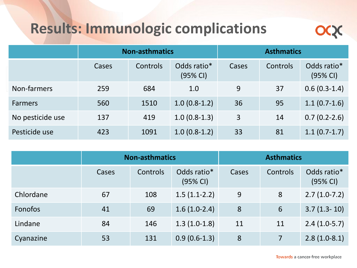### **Results: Immunologic complications**



|                  | <b>Non-asthmatics</b> |          |                         |       | <b>Asthmatics</b> |                         |
|------------------|-----------------------|----------|-------------------------|-------|-------------------|-------------------------|
|                  | Cases                 | Controls | Odds ratio*<br>(95% CI) | Cases | Controls          | Odds ratio*<br>(95% CI) |
| Non-farmers      | 259                   | 684      | 1.0                     | 9     | 37                | $0.6(0.3-1.4)$          |
| <b>Farmers</b>   | 560                   | 1510     | $1.0(0.8-1.2)$          | 36    | 95                | $1.1(0.7-1.6)$          |
| No pesticide use | 137                   | 419      | $1.0(0.8-1.3)$          | 3     | 14                | $0.7(0.2-2.6)$          |
| Pesticide use    | 423                   | 1091     | $1.0(0.8-1.2)$          | 33    | 81                | $1.1(0.7-1.7)$          |

|                | <b>Non-asthmatics</b> |          |                         |       | <b>Asthmatics</b> |                         |
|----------------|-----------------------|----------|-------------------------|-------|-------------------|-------------------------|
|                | Cases                 | Controls | Odds ratio*<br>(95% CI) | Cases | Controls          | Odds ratio*<br>(95% CI) |
| Chlordane      | 67                    | 108      | $1.5(1.1-2.2)$          | 9     | 8                 | $2.7(1.0-7.2)$          |
| <b>Fonofos</b> | 41                    | 69       | $1.6(1.0-2.4)$          | 8     | 6                 | $3.7(1.3-10)$           |
| Lindane        | 84                    | 146      | $1.3(1.0-1.8)$          | 11    | 11                | $2.4(1.0-5.7)$          |
| Cyanazine      | 53                    | 131      | $0.9(0.6-1.3)$          | 8     | $\overline{7}$    | $2.8(1.0-8.1)$          |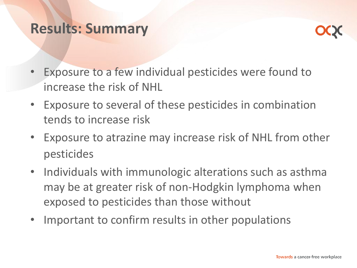#### **Results: Summary**



- Exposure to a few individual pesticides were found to increase the risk of NHL
- Exposure to several of these pesticides in combination tends to increase risk
- Exposure to atrazine may increase risk of NHL from other pesticides
- Individuals with immunologic alterations such as asthma may be at greater risk of non-Hodgkin lymphoma when exposed to pesticides than those without
- Important to confirm results in other populations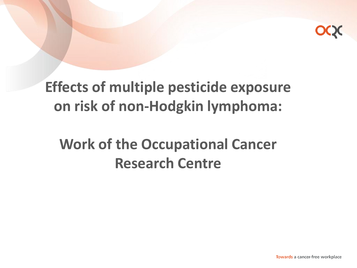

# **Effects of multiple pesticide exposure on risk of non-Hodgkin lymphoma:**

# **Work of the Occupational Cancer Research Centre**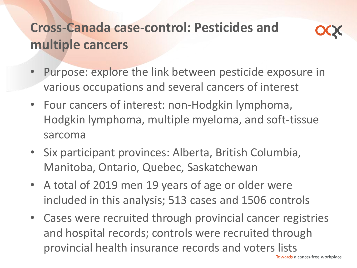### **Cross-Canada case-control: Pesticides and multiple cancers**



- Purpose: explore the link between pesticide exposure in various occupations and several cancers of interest
- Four cancers of interest: non-Hodgkin lymphoma, Hodgkin lymphoma, multiple myeloma, and soft-tissue sarcoma
- Six participant provinces: Alberta, British Columbia, Manitoba, Ontario, Quebec, Saskatchewan
- A total of 2019 men 19 years of age or older were included in this analysis; 513 cases and 1506 controls
- Cases were recruited through provincial cancer registries and hospital records; controls were recruited through provincial health insurance records and voters lists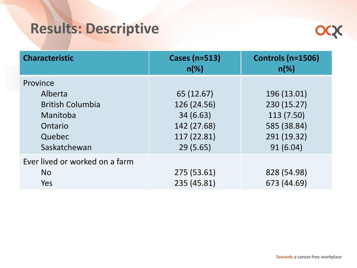# **Results: Descriptive**



| <b>Characteristic</b>                                                                           | <b>Cases (n=513)</b><br>$n(\%)$                                                 | Controls (n=1506)<br>$n(\%)$                                                       |
|-------------------------------------------------------------------------------------------------|---------------------------------------------------------------------------------|------------------------------------------------------------------------------------|
| Province<br>Alberta<br><b>British Columbia</b><br>Manitoba<br>Ontario<br>Quebec<br>Saskatchewan | 65 (12.67)<br>126 (24.56)<br>34(6.63)<br>142 (27.68)<br>117 (22.81)<br>29(5.65) | 196 (13.01)<br>230 (15.27)<br>113 (7.50)<br>585 (38.84)<br>291 (19.32)<br>91(6.04) |
| Ever lived or worked on a farm<br><b>No</b><br>Yes                                              | 275 (53.61)<br>235 (45.81)                                                      | 828 (54.98)<br>673 (44.69)                                                         |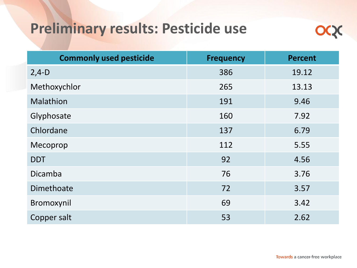#### **Preliminary results: Pesticide use**



| <b>Commonly used pesticide</b> | <b>Frequency</b> | <b>Percent</b> |
|--------------------------------|------------------|----------------|
| $2,4-D$                        | 386              | 19.12          |
| Methoxychlor                   | 265              | 13.13          |
| <b>Malathion</b>               | 191              | 9.46           |
| Glyphosate                     | 160              | 7.92           |
| Chlordane                      | 137              | 6.79           |
| Mecoprop                       | 112              | 5.55           |
| <b>DDT</b>                     | 92               | 4.56           |
| Dicamba                        | 76               | 3.76           |
| Dimethoate                     | 72               | 3.57           |
| Bromoxynil                     | 69               | 3.42           |
| Copper salt                    | 53               | 2.62           |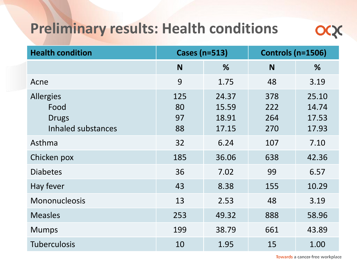### **Preliminary results: Health conditions**



| <b>Health condition</b>                                        | <b>Cases (n=513)</b>  |                                  | <b>Controls (n=1506)</b> |                                  |
|----------------------------------------------------------------|-----------------------|----------------------------------|--------------------------|----------------------------------|
|                                                                | N                     | %                                | <b>N</b>                 | %                                |
| Acne                                                           | 9                     | 1.75                             | 48                       | 3.19                             |
| <b>Allergies</b><br>Food<br><b>Drugs</b><br>Inhaled substances | 125<br>80<br>97<br>88 | 24.37<br>15.59<br>18.91<br>17.15 | 378<br>222<br>264<br>270 | 25.10<br>14.74<br>17.53<br>17.93 |
| Asthma                                                         | 32                    | 6.24                             | 107                      | 7.10                             |
| Chicken pox                                                    | 185                   | 36.06                            | 638                      | 42.36                            |
| <b>Diabetes</b>                                                | 36                    | 7.02                             | 99                       | 6.57                             |
| Hay fever                                                      | 43                    | 8.38                             | 155                      | 10.29                            |
| Mononucleosis                                                  | 13                    | 2.53                             | 48                       | 3.19                             |
| <b>Measles</b>                                                 | 253                   | 49.32                            | 888                      | 58.96                            |
| <b>Mumps</b>                                                   | 199                   | 38.79                            | 661                      | 43.89                            |
| <b>Tuberculosis</b>                                            | 10                    | 1.95                             | 15                       | 1.00                             |

Towards a cancer-free workplace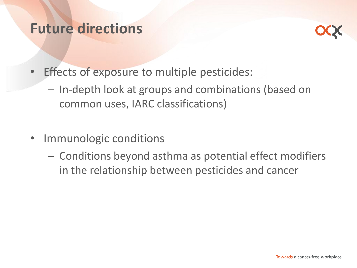#### **Future directions**



- Effects of exposure to multiple pesticides:
	- In-depth look at groups and combinations (based on common uses, IARC classifications)
- Immunologic conditions
	- Conditions beyond asthma as potential effect modifiers in the relationship between pesticides and cancer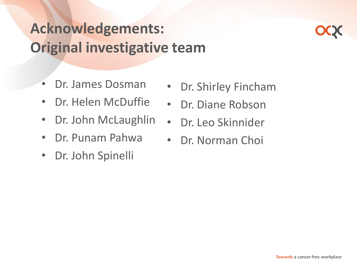# **Acknowledgements: Original investigative team**

- Dr. James Dosman
- Dr. Helen McDuffie
- Dr. John McLaughlin
- Dr. Punam Pahwa
- Dr. John Spinelli
- Dr. Shirley Fincham
- Dr. Diane Robson
- Dr. Leo Skinnider
- Dr. Norman Choi